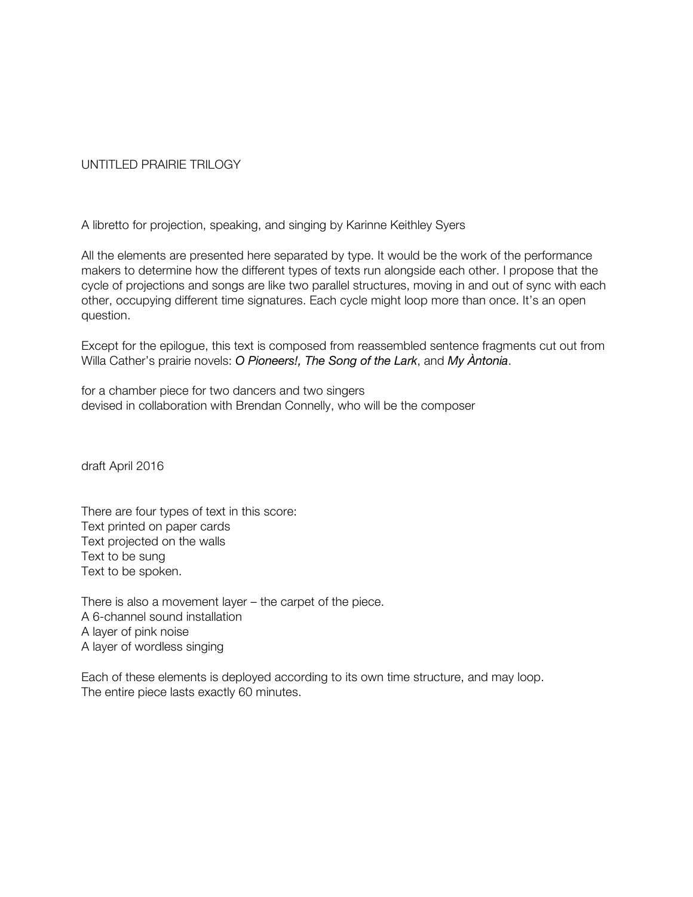# UNTITLED PRAIRIE TRILOGY

A libretto for projection, speaking, and singing by Karinne Keithley Syers

All the elements are presented here separated by type. It would be the work of the performance makers to determine how the different types of texts run alongside each other. I propose that the cycle of projections and songs are like two parallel structures, moving in and out of sync with each other, occupying different time signatures. Each cycle might loop more than once. It's an open question.

Except for the epilogue, this text is composed from reassembled sentence fragments cut out from Willa Cather's prairie novels: *O Pioneers!, The Song of the Lark*, and *My Àntonia*.

for a chamber piece for two dancers and two singers devised in collaboration with Brendan Connelly, who will be the composer

draft April 2016

There are four types of text in this score: Text printed on paper cards Text projected on the walls Text to be sung Text to be spoken.

There is also a movement layer – the carpet of the piece. A 6-channel sound installation A layer of pink noise A layer of wordless singing

Each of these elements is deployed according to its own time structure, and may loop. The entire piece lasts exactly 60 minutes.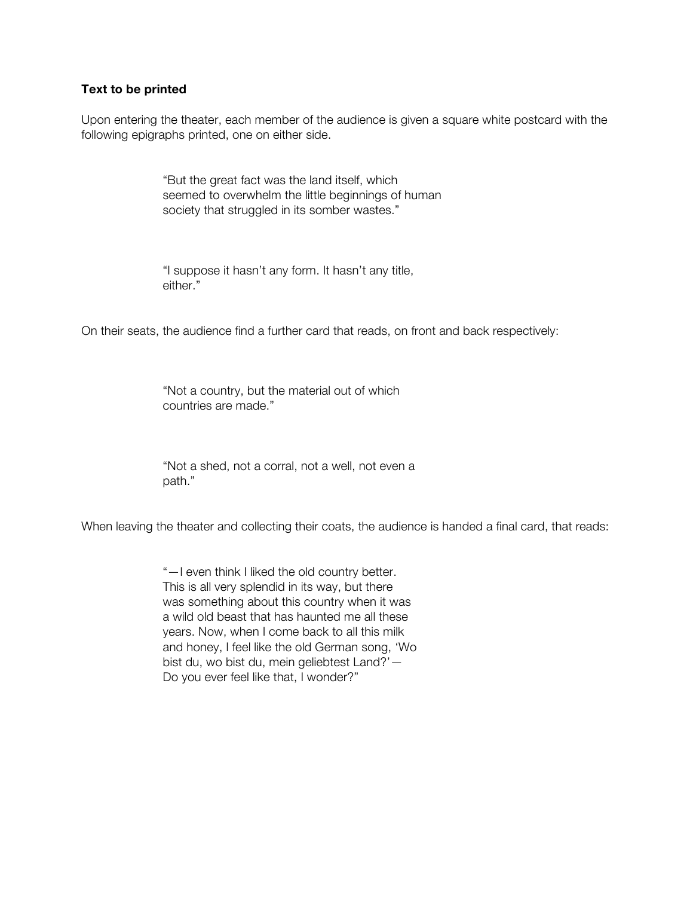### **Text to be printed**

Upon entering the theater, each member of the audience is given a square white postcard with the following epigraphs printed, one on either side.

> "But the great fact was the land itself, which seemed to overwhelm the little beginnings of human society that struggled in its somber wastes."

"I suppose it hasn't any form. It hasn't any title, either."

On their seats, the audience find a further card that reads, on front and back respectively:

"Not a country, but the material out of which countries are made."

"Not a shed, not a corral, not a well, not even a path."

When leaving the theater and collecting their coats, the audience is handed a final card, that reads:

"—I even think I liked the old country better. This is all very splendid in its way, but there was something about this country when it was a wild old beast that has haunted me all these years. Now, when I come back to all this milk and honey, I feel like the old German song, 'Wo bist du, wo bist du, mein geliebtest Land?'— Do you ever feel like that, I wonder?"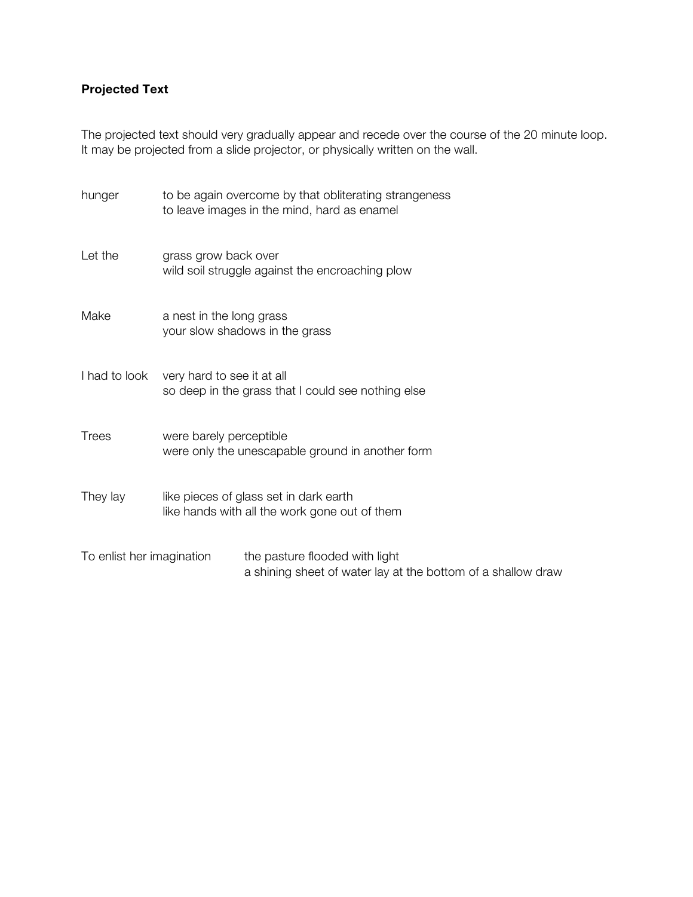# **Projected Text**

The projected text should very gradually appear and recede over the course of the 20 minute loop. It may be projected from a slide projector, or physically written on the wall.

| hunger                    | to be again overcome by that obliterating strangeness<br>to leave images in the mind, hard as enamel |                                                                                                |
|---------------------------|------------------------------------------------------------------------------------------------------|------------------------------------------------------------------------------------------------|
| Let the                   | grass grow back over<br>wild soil struggle against the encroaching plow                              |                                                                                                |
| Make                      | a nest in the long grass<br>your slow shadows in the grass                                           |                                                                                                |
| I had to look             | very hard to see it at all<br>so deep in the grass that I could see nothing else                     |                                                                                                |
| <b>Trees</b>              | were barely perceptible<br>were only the unescapable ground in another form                          |                                                                                                |
| They lay                  | like pieces of glass set in dark earth<br>like hands with all the work gone out of them              |                                                                                                |
| To enlist her imagination |                                                                                                      | the pasture flooded with light<br>a shining sheet of water lay at the bottom of a shallow draw |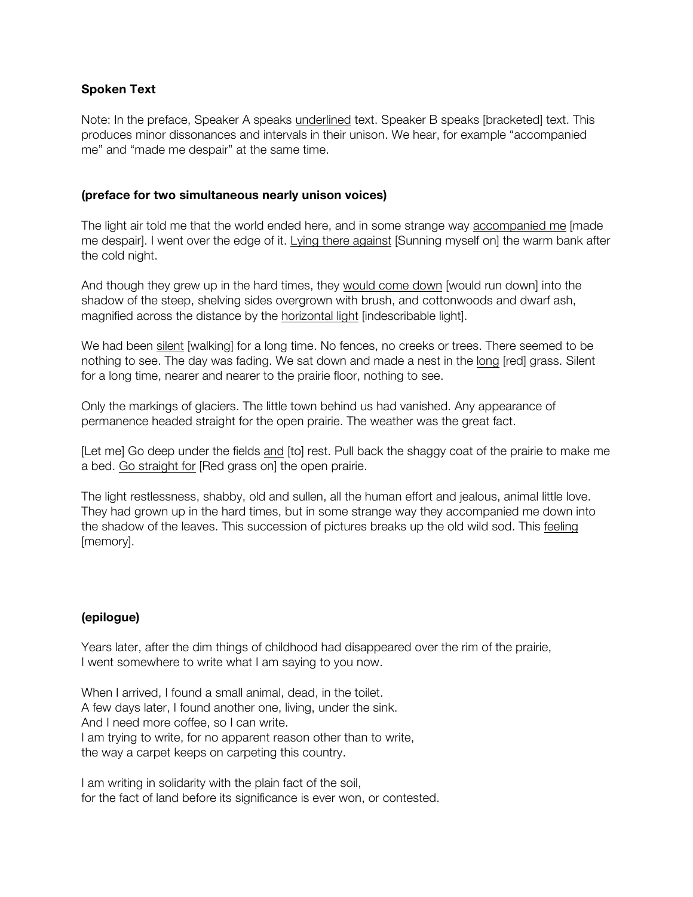# **Spoken Text**

Note: In the preface, Speaker A speaks underlined text. Speaker B speaks [bracketed] text. This produces minor dissonances and intervals in their unison. We hear, for example "accompanied me" and "made me despair" at the same time.

### **(preface for two simultaneous nearly unison voices)**

The light air told me that the world ended here, and in some strange way accompanied me [made me despair]. I went over the edge of it. Lying there against [Sunning myself on] the warm bank after the cold night.

And though they grew up in the hard times, they would come down [would run down] into the shadow of the steep, shelving sides overgrown with brush, and cottonwoods and dwarf ash, magnified across the distance by the horizontal light [indescribable light].

We had been silent [walking] for a long time. No fences, no creeks or trees. There seemed to be nothing to see. The day was fading. We sat down and made a nest in the long [red] grass. Silent for a long time, nearer and nearer to the prairie floor, nothing to see.

Only the markings of glaciers. The little town behind us had vanished. Any appearance of permanence headed straight for the open prairie. The weather was the great fact.

[Let me] Go deep under the fields and [to] rest. Pull back the shaggy coat of the prairie to make me a bed. Go straight for [Red grass on] the open prairie.

The light restlessness, shabby, old and sullen, all the human effort and jealous, animal little love. They had grown up in the hard times, but in some strange way they accompanied me down into the shadow of the leaves. This succession of pictures breaks up the old wild sod. This feeling [memory].

# **(epilogue)**

Years later, after the dim things of childhood had disappeared over the rim of the prairie, I went somewhere to write what I am saying to you now.

When I arrived, I found a small animal, dead, in the toilet. A few days later, I found another one, living, under the sink. And I need more coffee, so I can write. I am trying to write, for no apparent reason other than to write, the way a carpet keeps on carpeting this country.

I am writing in solidarity with the plain fact of the soil, for the fact of land before its significance is ever won, or contested.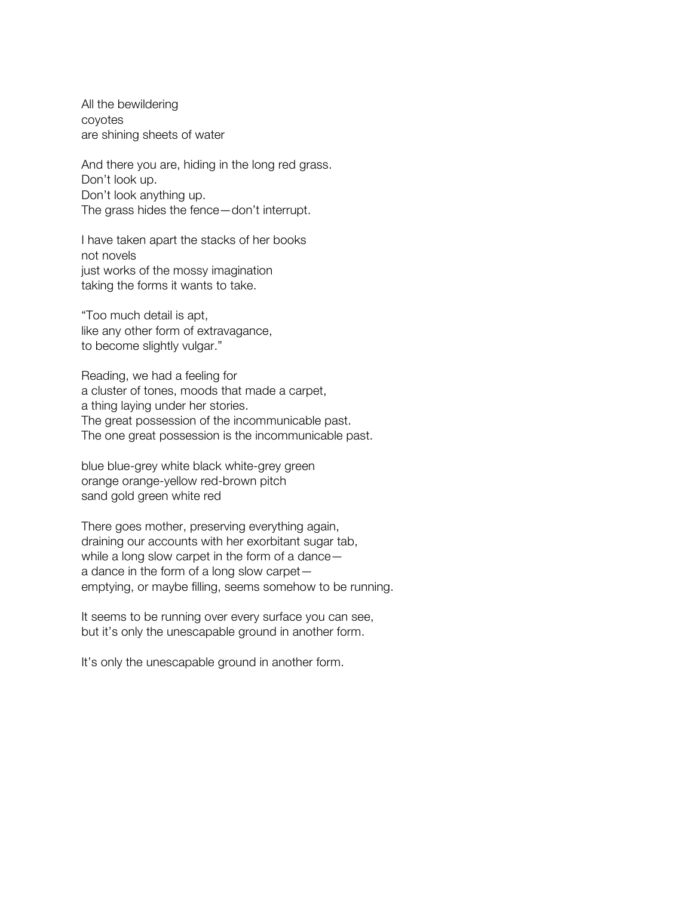All the bewildering coyotes are shining sheets of water

And there you are, hiding in the long red grass. Don't look up. Don't look anything up. The grass hides the fence—don't interrupt.

I have taken apart the stacks of her books not novels just works of the mossy imagination taking the forms it wants to take.

"Too much detail is apt, like any other form of extravagance, to become slightly vulgar."

Reading, we had a feeling for a cluster of tones, moods that made a carpet, a thing laying under her stories. The great possession of the incommunicable past. The one great possession is the incommunicable past.

blue blue-grey white black white-grey green orange orange-yellow red-brown pitch sand gold green white red

There goes mother, preserving everything again, draining our accounts with her exorbitant sugar tab, while a long slow carpet in the form of a dance a dance in the form of a long slow carpet emptying, or maybe filling, seems somehow to be running.

It seems to be running over every surface you can see, but it's only the unescapable ground in another form.

It's only the unescapable ground in another form.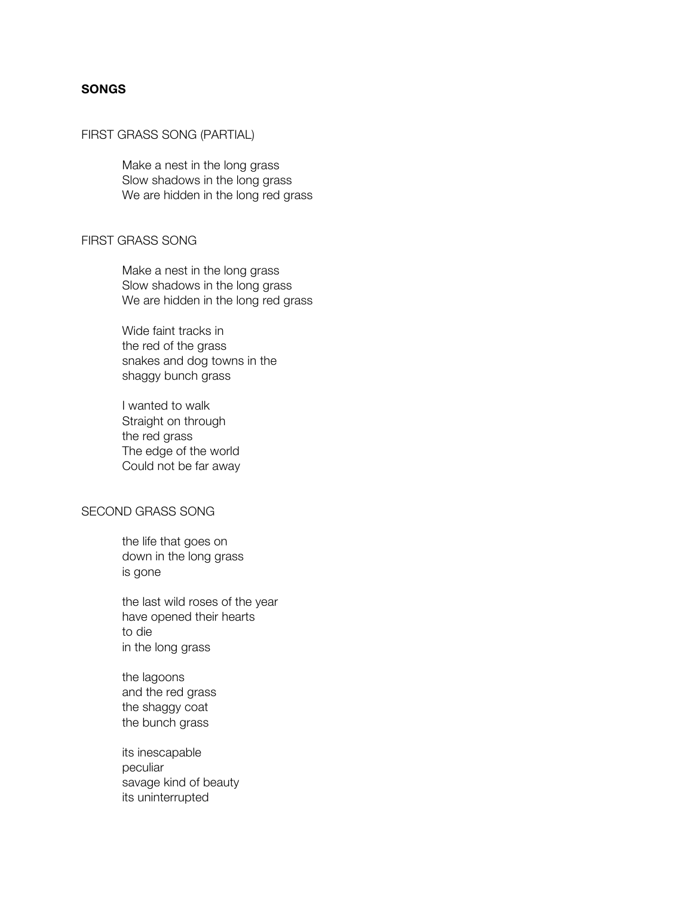# **SONGS**

#### FIRST GRASS SONG (PARTIAL)

Make a nest in the long grass Slow shadows in the long grass We are hidden in the long red grass

#### FIRST GRASS SONG

Make a nest in the long grass Slow shadows in the long grass We are hidden in the long red grass

Wide faint tracks in the red of the grass snakes and dog towns in the shaggy bunch grass

I wanted to walk Straight on through the red grass The edge of the world Could not be far away

# SECOND GRASS SONG

the life that goes on down in the long grass is gone

the last wild roses of the year have opened their hearts to die in the long grass

the lagoons and the red grass the shaggy coat the bunch grass

its inescapable peculiar savage kind of beauty its uninterrupted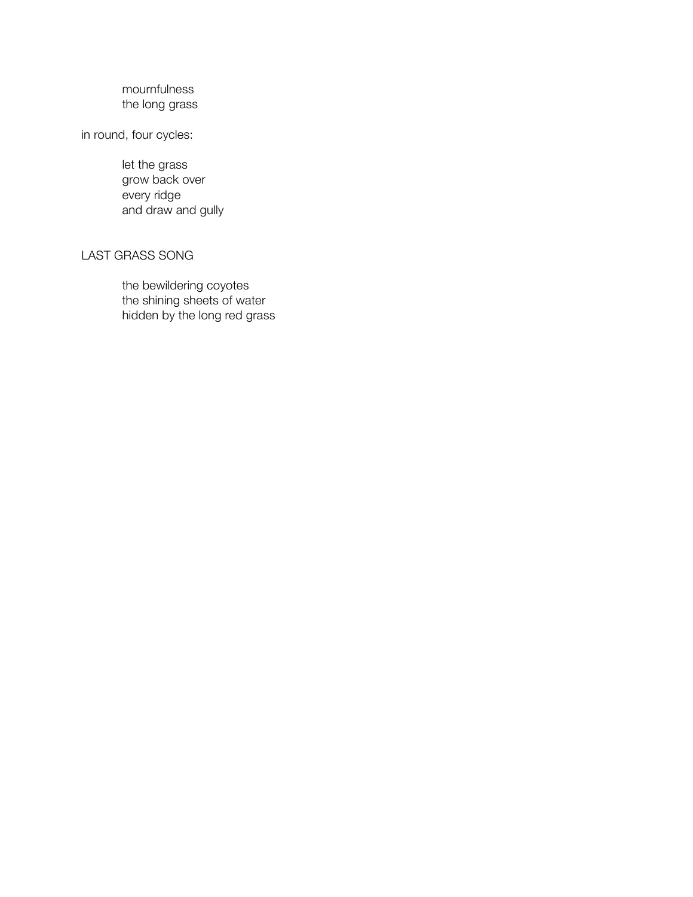# mournfulness the long grass

in round, four cycles:

let the grass grow back over every ridge and draw and gully

### LAST GRASS SONG

the bewildering coyotes the shining sheets of water hidden by the long red grass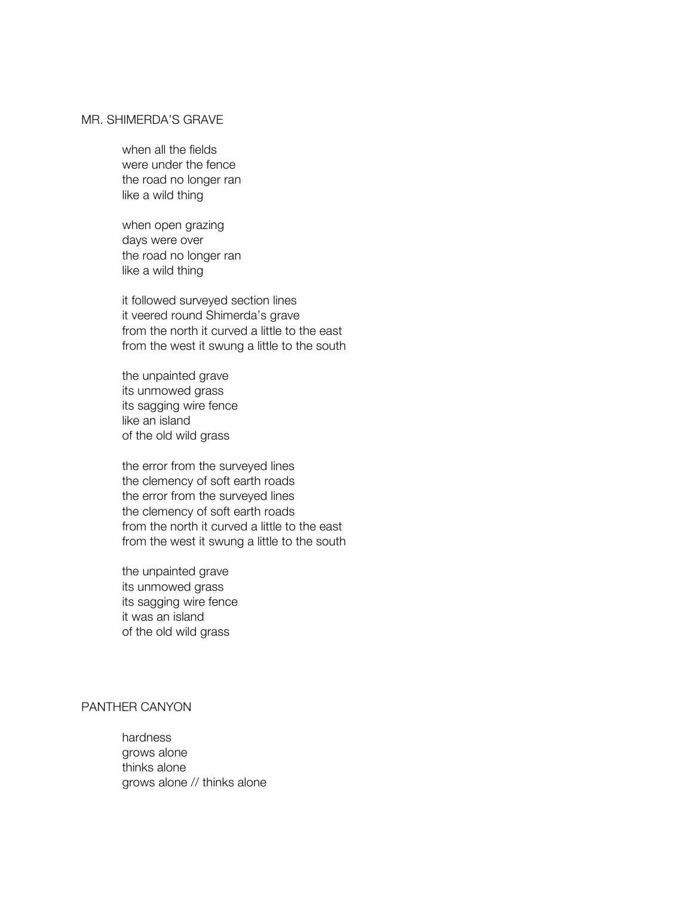# MR. SHIMERDA'S GRAVE

when all the fields were under the fence the road no longer ran like a wild thing

when open grazing days were over the road no longer ran like a wild thing

it followed surveyed section lines it veered round Shimerda's grave from the north it curved a little to the east from the west it swung a little to the south

the unpainted grave its unmowed grass its sagging wire fence like an island of the old wild grass

the error from the surveyed lines the clemency of soft earth roads the error from the surveyed lines the clemency of soft earth roads from the north it curved a little to the east from the west it swung a little to the south

the unpainted grave its unmowed grass its sagging wire fence it was an island of the old wild grass

# PANTHER CANYON

hardness grows alone thinks alone grows alone // thinks alone